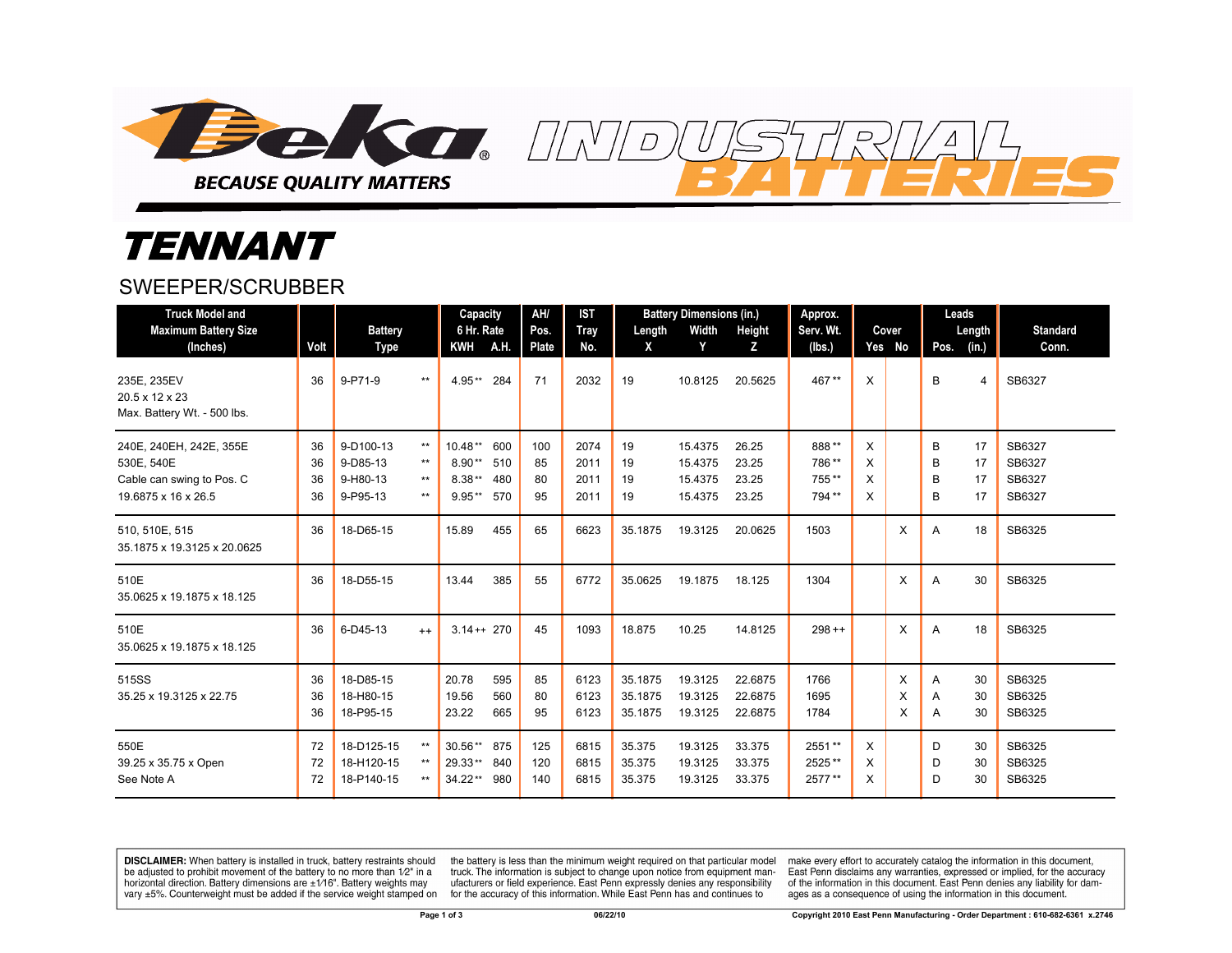

## *TENNANT*

## SWEEPER/SCRUBBER

| <b>Truck Model and</b><br><b>Maximum Battery Size</b><br>(Inches)                         | Volt                 | <b>Battery</b><br><b>Type</b>                 |                                  | Capacity<br>6 Hr. Rate<br><b>KWH</b><br><b>A.H.</b>                       | AH/<br>Pos.<br><b>Plate</b> | <b>IST</b><br><b>Tray</b><br>No. | Length<br>X                   | <b>Battery Dimensions (in.)</b><br>Width<br>Y | Height<br>z                      | Approx.<br>Serv. Wt.<br>(lbs.)   |                  | Cover<br>Yes No | Leads<br>Length<br>Pos.<br>(in.)         | <b>Standard</b><br>Conn.             |
|-------------------------------------------------------------------------------------------|----------------------|-----------------------------------------------|----------------------------------|---------------------------------------------------------------------------|-----------------------------|----------------------------------|-------------------------------|-----------------------------------------------|----------------------------------|----------------------------------|------------------|-----------------|------------------------------------------|--------------------------------------|
| 235E, 235EV<br>20.5 x 12 x 23<br>Max. Battery Wt. - 500 lbs.                              | 36                   | 9-P71-9                                       | $***$                            | $4.95**$<br>284                                                           | 71                          | 2032                             | 19                            | 10.8125                                       | 20.5625                          | 467**                            | X                |                 | B<br>$\overline{4}$                      | SB6327                               |
| 240E, 240EH, 242E, 355E<br>530E, 540E<br>Cable can swing to Pos. C<br>19.6875 x 16 x 26.5 | 36<br>36<br>36<br>36 | 9-D100-13<br>9-D85-13<br>9-H80-13<br>9-P95-13 | $***$<br>$***$<br>$***$<br>$***$ | $10.48**$<br>600<br>$8.90**$<br>510<br>$8.38**$<br>480<br>$9.95**$<br>570 | 100<br>85<br>80<br>95       | 2074<br>2011<br>2011<br>2011     | 19<br>19<br>19<br>19          | 15.4375<br>15.4375<br>15.4375<br>15.4375      | 26.25<br>23.25<br>23.25<br>23.25 | 888**<br>786**<br>755**<br>794** | X<br>X<br>X<br>X |                 | 17<br>B<br>B<br>17<br>B<br>17<br>17<br>B | SB6327<br>SB6327<br>SB6327<br>SB6327 |
| 510, 510E, 515<br>35.1875 x 19.3125 x 20.0625                                             | 36                   | 18-D65-15                                     |                                  | 455<br>15.89                                                              | 65                          | 6623                             | 35.1875                       | 19.3125                                       | 20.0625                          | 1503                             |                  | X               | 18<br>A                                  | SB6325                               |
| 510E<br>35.0625 x 19.1875 x 18.125                                                        | 36                   | 18-D55-15                                     |                                  | 13.44<br>385                                                              | 55                          | 6772                             | 35.0625                       | 19.1875                                       | 18.125                           | 1304                             |                  | X               | A<br>30                                  | SB6325                               |
| 510E<br>35.0625 x 19.1875 x 18.125                                                        | 36                   | 6-D45-13                                      | $^{++}$                          | $3.14++270$                                                               | 45                          | 1093                             | 18.875                        | 10.25                                         | 14.8125                          | $298 + +$                        |                  | X               | A<br>18                                  | SB6325                               |
| 515SS<br>35.25 x 19.3125 x 22.75                                                          | 36<br>36<br>36       | 18-D85-15<br>18-H80-15<br>18-P95-15           |                                  | 20.78<br>595<br>19.56<br>560<br>23.22<br>665                              | 85<br>80<br>95              | 6123<br>6123<br>6123             | 35.1875<br>35.1875<br>35.1875 | 19.3125<br>19.3125<br>19.3125                 | 22.6875<br>22.6875<br>22.6875    | 1766<br>1695<br>1784             |                  | X<br>X<br>X     | 30<br>A<br>A<br>30<br>30<br>A            | SB6325<br>SB6325<br>SB6325           |
| 550E<br>39.25 x 35.75 x Open<br>See Note A                                                | 72<br>72<br>72       | 18-D125-15<br>18-H120-15<br>18-P140-15        | $***$<br>$***$<br>$***$          | 30.56** 875<br>29.33**<br>840<br>34.22**<br>980                           | 125<br>120<br>140           | 6815<br>6815<br>6815             | 35.375<br>35.375<br>35.375    | 19.3125<br>19.3125<br>19.3125                 | 33.375<br>33.375<br>33.375       | 2551**<br>2525**<br>2577**       | X<br>X<br>X      |                 | D<br>30<br>D<br>30<br>30<br>D            | SB6325<br>SB6325<br>SB6325           |

 $\overline{D}$ 

**DISCLAIMER:** When battery is installed in truck, battery restraints should be adjusted to prohibit movement of the battery to no more than 1/2" in a horizontal direction. Battery dimensions are  $\pm 1/16$ ". Battery weights may vary ±5%. Counterweight must be added if the service weight stamped on

the battery is less than the minimum weight required on that particular model truck. The information is subject to change upon notice from equipment manufacturers or field experience. East Penn expressly denies any responsibility for the accuracy of this information. While East Penn has and continues to

make every effort to accurately catalog the information in this document, East Penn disclaims any warranties, expressed or implied, for the accuracy of the information in this document. East Penn denies any liability for damages as a consequence of using the information in this document.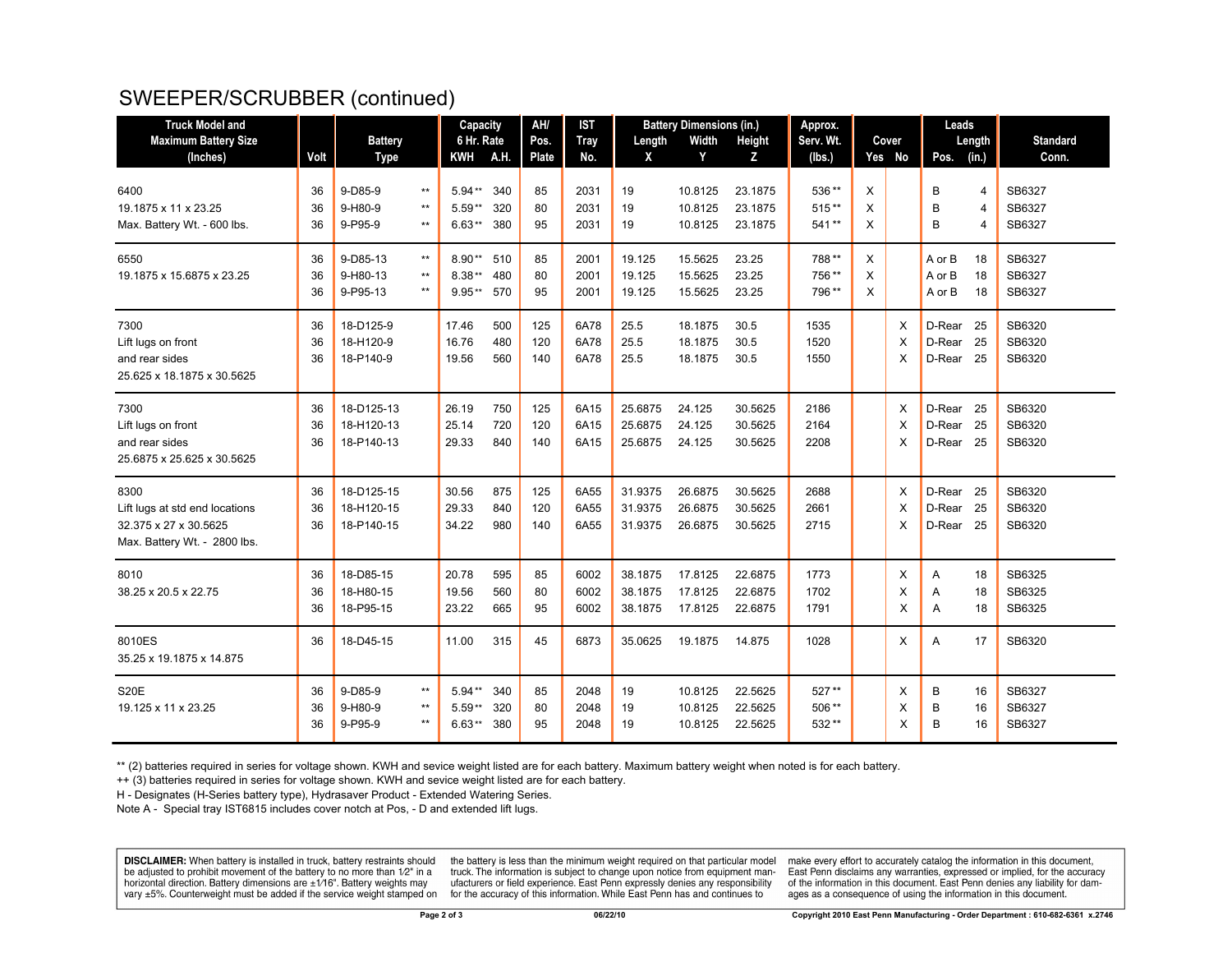## SWEEPER/SCRUBBER (continued)

| <b>Truck Model and</b>         |      |                |                 | Capacity        |     | AH/   | <b>IST</b>  | <b>Battery Dimensions (in.)</b> |         |               | Approx.   |       |          | Leads  |                |                 |
|--------------------------------|------|----------------|-----------------|-----------------|-----|-------|-------------|---------------------------------|---------|---------------|-----------|-------|----------|--------|----------------|-----------------|
| <b>Maximum Battery Size</b>    |      | <b>Battery</b> |                 | 6 Hr. Rate      |     | Pos.  | <b>Tray</b> | Length                          | Width   | <b>Height</b> | Serv. Wt. | Cover |          | Length |                | <b>Standard</b> |
| (Inches)                       | Volt | <b>Type</b>    |                 | A.H.<br>KWH     |     | Plate | No.         | X                               | Y       | Z             | (lbs.)    |       | Yes No   | Pos.   | (in.)          | Conn.           |
| 6400                           | 36   | $9-D85-9$      | $***$           | $5.94**$        | 340 | 85    | 2031        | 19                              | 10.8125 | 23.1875       | 536**     | X     |          | B      | $\overline{4}$ | SB6327          |
| 19.1875 x 11 x 23.25           | 36   | 9-H80-9        | $\star\star$    | $5.59**$        | 320 | 80    | 2031        | 19                              | 10.8125 | 23.1875       | $515**$   | X     |          | B      | $\overline{4}$ | SB6327          |
| Max. Battery Wt. - 600 lbs.    | 36   | 9-P95-9        | $\star\star$    | $6.63**$        | 380 | 95    | 2031        | 19                              | 10.8125 | 23.1875       | 541**     | X     |          | B      | $\overline{4}$ | SB6327          |
| 6550                           | 36   | 9-D85-13       | $^{\star\star}$ | $8.90**$<br>510 |     | 85    | 2001        | 19.125                          | 15.5625 | 23.25         | 788**     | X     |          | A or B | 18             | SB6327          |
| 19.1875 x 15.6875 x 23.25      | 36   | 9-H80-13       | $\star\star$    | $8.38**$        | 480 | 80    | 2001        | 19.125                          | 15.5625 | 23.25         | 756**     | X     |          | A or B | 18             | SB6327          |
|                                | 36   | 9-P95-13       | $***$           | 9.95** 570      |     | 95    | 2001        | 19.125                          | 15.5625 | 23.25         | 796**     | X     |          | A or B | 18             | SB6327          |
| 7300                           | 36   | 18-D125-9      |                 | 17.46           | 500 | 125   | 6A78        | 25.5                            | 18.1875 | 30.5          | 1535      |       | X        | D-Rear | -25            | SB6320          |
| Lift lugs on front             | 36   | 18-H120-9      |                 | 16.76           | 480 | 120   | 6A78        | 25.5                            | 18.1875 | 30.5          | 1520      |       | $\times$ | D-Rear | 25             | SB6320          |
| and rear sides                 | 36   | 18-P140-9      |                 | 19.56           | 560 | 140   | 6A78        | 25.5                            | 18.1875 | 30.5          | 1550      |       | X        | D-Rear | -25            | SB6320          |
| 25.625 x 18.1875 x 30.5625     |      |                |                 |                 |     |       |             |                                 |         |               |           |       |          |        |                |                 |
| 7300                           | 36   | 18-D125-13     |                 | 26.19           | 750 | 125   | 6A15        | 25.6875                         | 24.125  | 30.5625       | 2186      |       | X        | D-Rear | 25             | SB6320          |
| Lift lugs on front             | 36   | 18-H120-13     |                 | 25.14           | 720 | 120   | 6A15        | 25.6875                         | 24.125  | 30.5625       | 2164      |       | $\times$ | D-Rear | 25             | SB6320          |
| and rear sides                 | 36   | 18-P140-13     |                 | 29.33           | 840 | 140   | 6A15        | 25.6875                         | 24.125  | 30.5625       | 2208      |       | $\times$ | D-Rear | 25             | SB6320          |
| 25.6875 x 25.625 x 30.5625     |      |                |                 |                 |     |       |             |                                 |         |               |           |       |          |        |                |                 |
| 8300                           | 36   | 18-D125-15     |                 | 30.56           | 875 | 125   | 6A55        | 31.9375                         | 26.6875 | 30.5625       | 2688      |       | X        | D-Rear | -25            | SB6320          |
| Lift lugs at std end locations | 36   | 18-H120-15     |                 | 29.33           | 840 | 120   | 6A55        | 31.9375                         | 26.6875 | 30.5625       | 2661      |       | $\times$ | D-Rear | 25             | SB6320          |
| 32.375 x 27 x 30.5625          | 36   | 18-P140-15     |                 | 34.22           | 980 | 140   | 6A55        | 31.9375                         | 26.6875 | 30.5625       | 2715      |       | X        | D-Rear | 25             | SB6320          |
| Max. Battery Wt. - 2800 lbs.   |      |                |                 |                 |     |       |             |                                 |         |               |           |       |          |        |                |                 |
| 8010                           | 36   | 18-D85-15      |                 | 20.78           | 595 | 85    | 6002        | 38.1875                         | 17.8125 | 22.6875       | 1773      |       | X        | Α      | 18             | SB6325          |
| 38.25 x 20.5 x 22.75           | 36   | 18-H80-15      |                 | 19.56           | 560 | 80    | 6002        | 38.1875                         | 17.8125 | 22.6875       | 1702      |       | X        | Α      | 18             | SB6325          |
|                                | 36   | 18-P95-15      |                 | 23.22           | 665 | 95    | 6002        | 38.1875                         | 17.8125 | 22.6875       | 1791      |       | X        | A      | 18             | SB6325          |
| 8010ES                         | 36   | 18-D45-15      |                 | 11.00           | 315 | 45    | 6873        | 35.0625                         | 19.1875 | 14.875        | 1028      |       | X        | A      | 17             | SB6320          |
| 35.25 x 19.1875 x 14.875       |      |                |                 |                 |     |       |             |                                 |         |               |           |       |          |        |                |                 |
| <b>S20E</b>                    | 36   | 9-D85-9        | $^{\star\star}$ | $5.94**$        | 340 | 85    | 2048        | 19                              | 10.8125 | 22.5625       | 527**     |       | X        | B      | 16             | SB6327          |
| 19.125 x 11 x 23.25            | 36   | 9-H80-9        | $***$           | $5.59**$        | 320 | 80    | 2048        | 19                              | 10.8125 | 22.5625       | 506**     |       | X        | B      | 16             | SB6327          |
|                                | 36   | 9-P95-9        | $\star\star$    | $6.63**$        | 380 | 95    | 2048        | 19                              | 10.8125 | 22.5625       | 532**     |       | X        | B      | 16             | SB6327          |

\*\* (2) batteries required in series for voltage shown. KWH and sevice weight listed are for each battery. Maximum battery weight when noted is for each battery.

++ (3) batteries required in series for voltage shown. KWH and sevice weight listed are for each battery.

H - Designates (H-Series battery type), Hydrasaver Product - Extended Watering Series.

Note A - Special tray IST6815 includes cover notch at Pos, - D and extended lift lugs.

DISCLAIMER: When battery is installed in truck, battery restraints should be adjusted to prohibit movement of the battery to no more than 1/2" in a horizontal direction. Battery dimensions are  $\pm 1/16$ ". Battery weights may vary ±5%. Counterweight must be added if the service weight stamped on

the battery is less than the minimum weight required on that particular model truck. The information is subject to change upon notice from equipment manufacturers or field experience. East Penn expressly denies any responsibility for the accuracy of this information. While East Penn has and continues to

make every effort to accurately catalog the information in this document, East Penn disclaims any warranties, expressed or implied, for the accuracy of the information in this document. East Penn denies any liability for damages as a consequence of using the information in this document.